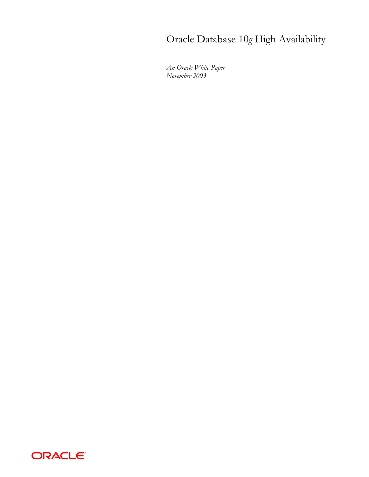# Oracle Database 10*g* High Availability

*An Oracle White Paper November 2003* 

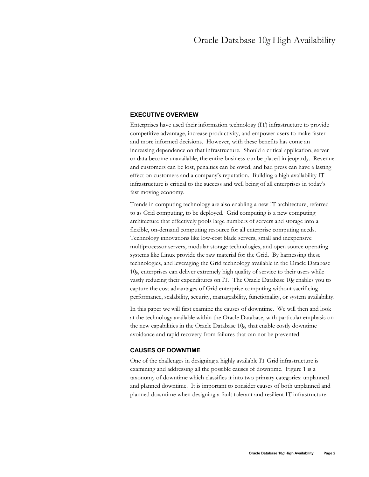## **EXECUTIVE OVERVIEW**

Enterprises have used their information technology (IT) infrastructure to provide competitive advantage, increase productivity, and empower users to make faster and more informed decisions. However, with these benefits has come an increasing dependence on that infrastructure. Should a critical application, server or data become unavailable, the entire business can be placed in jeopardy. Revenue and customers can be lost, penalties can be owed, and bad press can have a lasting effect on customers and a company's reputation. Building a high availability IT infrastructure is critical to the success and well being of all enterprises in today's fast moving economy.

Trends in computing technology are also enabling a new IT architecture, referred to as Grid computing, to be deployed. Grid computing is a new computing architecture that effectively pools large numbers of servers and storage into a flexible, on-demand computing resource for all enterprise computing needs. Technology innovations like low-cost blade servers, small and inexpensive multiprocessor servers, modular storage technologies, and open source operating systems like Linux provide the raw material for the Grid. By harnessing these technologies, and leveraging the Grid technology available in the Oracle Database 10*g*, enterprises can deliver extremely high quality of service to their users while vastly reducing their expenditures on IT. The Oracle Database 10*g* enables you to capture the cost advantages of Grid enterprise computing without sacrificing performance, scalability, security, manageability, functionality, or system availability.

In this paper we will first examine the causes of downtime. We will then and look at the technology available within the Oracle Database, with particular emphasis on the new capabilities in the Oracle Database 10*g*, that enable costly downtime avoidance and rapid recovery from failures that can not be prevented.

## **CAUSES OF DOWNTIME**

One of the challenges in designing a highly available IT Grid infrastructure is examining and addressing all the possible causes of downtime. Figure 1 is a taxonomy of downtime which classifies it into two primary categories: unplanned and planned downtime. It is important to consider causes of both unplanned and planned downtime when designing a fault tolerant and resilient IT infrastructure.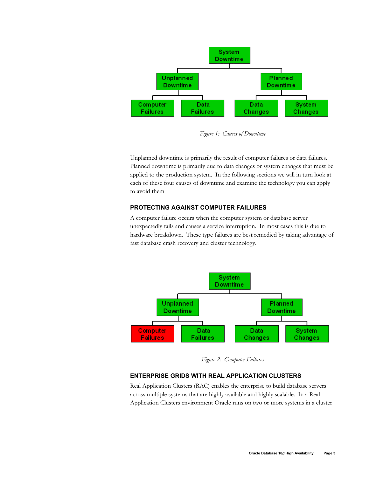

*Figure 1: Causes of Downtime* 

Unplanned downtime is primarily the result of computer failures or data failures. Planned downtime is primarily due to data changes or system changes that must be applied to the production system. In the following sections we will in turn look at each of these four causes of downtime and examine the technology you can apply to avoid them

## **PROTECTING AGAINST COMPUTER FAILURES**

A computer failure occurs when the computer system or database server unexpectedly fails and causes a service interruption. In most cases this is due to hardware breakdown. These type failures are best remedied by taking advantage of fast database crash recovery and cluster technology.



*Figure 2: Computer Failures* 

# **ENTERPRISE GRIDS WITH REAL APPLICATION CLUSTERS**

Real Application Clusters (RAC) enables the enterprise to build database servers across multiple systems that are highly available and highly scalable. In a Real Application Clusters environment Oracle runs on two or more systems in a cluster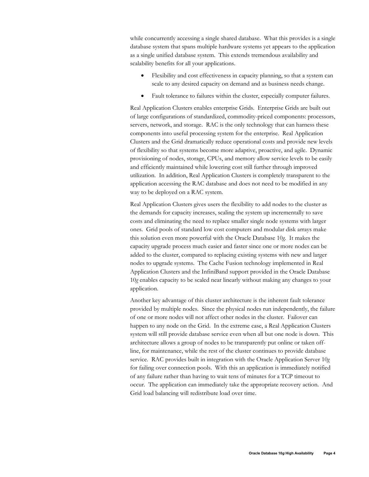while concurrently accessing a single shared database. What this provides is a single database system that spans multiple hardware systems yet appears to the application as a single unified database system. This extends tremendous availability and scalability benefits for all your applications.

- Flexibility and cost effectiveness in capacity planning, so that a system can scale to any desired capacity on demand and as business needs change.
- Fault tolerance to failures within the cluster, especially computer failures.

Real Application Clusters enables enterprise Grids. Enterprise Grids are built out of large configurations of standardized, commodity-priced components: processors, servers, network, and storage. RAC is the only technology that can harness these components into useful processing system for the enterprise. Real Application Clusters and the Grid dramatically reduce operational costs and provide new levels of flexibility so that systems become more adaptive, proactive, and agile. Dynamic provisioning of nodes, storage, CPUs, and memory allow service levels to be easily and efficiently maintained while lowering cost still further through improved utilization. In addition, Real Application Clusters is completely transparent to the application accessing the RAC database and does not need to be modified in any way to be deployed on a RAC system.

Real Application Clusters gives users the flexibility to add nodes to the cluster as the demands for capacity increases, scaling the system up incrementally to save costs and eliminating the need to replace smaller single node systems with larger ones. Grid pools of standard low cost computers and modular disk arrays make this solution even more powerful with the Oracle Database 10*g*. It makes the capacity upgrade process much easier and faster since one or more nodes can be added to the cluster, compared to replacing existing systems with new and larger nodes to upgrade systems. The Cache Fusion technology implemented in Real Application Clusters and the InfiniBand support provided in the Oracle Database 10*g* enables capacity to be scaled near linearly without making any changes to your application.

Another key advantage of this cluster architecture is the inherent fault tolerance provided by multiple nodes. Since the physical nodes run independently, the failure of one or more nodes will not affect other nodes in the cluster. Failover can happen to any node on the Grid. In the extreme case, a Real Application Clusters system will still provide database service even when all but one node is down. This architecture allows a group of nodes to be transparently put online or taken offline, for maintenance, while the rest of the cluster continues to provide database service. RAC provides built in integration with the Oracle Application Server 10*g* for failing over connection pools. With this an application is immediately notified of any failure rather than having to wait tens of minutes for a TCP timeout to occur. The application can immediately take the appropriate recovery action. And Grid load balancing will redistribute load over time.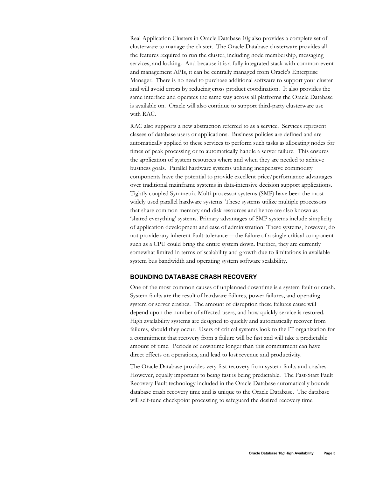Real Application Clusters in Oracle Database 10*g* also provides a complete set of clusterware to manage the cluster. The Oracle Database clusterware provides all the features required to run the cluster, including node membership, messaging services, and locking. And because it is a fully integrated stack with common event and management APIs, it can be centrally managed from Oracle's Enterprise Manager. There is no need to purchase additional software to support your cluster and will avoid errors by reducing cross product coordination. It also provides the same interface and operates the same way across all platforms the Oracle Database is available on. Oracle will also continue to support third-party clusterware use with RAC.

RAC also supports a new abstraction referred to as a service. Services represent classes of database users or applications. Business policies are defined and are automatically applied to these services to perform such tasks as allocating nodes for times of peak processing or to automatically handle a server failure. This ensures the application of system resources where and when they are needed to achieve business goals. Parallel hardware systems utilizing inexpensive commodity components have the potential to provide excellent price/performance advantages over traditional mainframe systems in data-intensive decision support applications. Tightly coupled Symmetric Multi-processor systems (SMP) have been the most widely used parallel hardware systems. These systems utilize multiple processors that share common memory and disk resources and hence are also known as 'shared everything' systems. Primary advantages of SMP systems include simplicity of application development and ease of administration. These systems, however, do not provide any inherent fault-tolerance—the failure of a single critical component such as a CPU could bring the entire system down. Further, they are currently somewhat limited in terms of scalability and growth due to limitations in available system bus bandwidth and operating system software scalability.

## **BOUNDING DATABASE CRASH RECOVERY**

One of the most common causes of unplanned downtime is a system fault or crash. System faults are the result of hardware failures, power failures, and operating system or server crashes. The amount of disruption these failures cause will depend upon the number of affected users, and how quickly service is restored. High availability systems are designed to quickly and automatically recover from failures, should they occur. Users of critical systems look to the IT organization for a commitment that recovery from a failure will be fast and will take a predictable amount of time. Periods of downtime longer than this commitment can have direct effects on operations, and lead to lost revenue and productivity.

The Oracle Database provides very fast recovery from system faults and crashes. However, equally important to being fast is being predictable. The Fast-Start Fault Recovery Fault technology included in the Oracle Database automatically bounds database crash recovery time and is unique to the Oracle Database. The database will self-tune checkpoint processing to safeguard the desired recovery time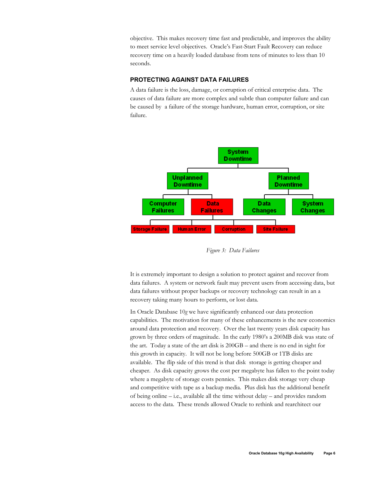objective. This makes recovery time fast and predictable, and improves the ability to meet service level objectives. Oracle's Fast-Start Fault Recovery can reduce recovery time on a heavily loaded database from tens of minutes to less than 10 seconds.

## **PROTECTING AGAINST DATA FAILURES**

A data failure is the loss, damage, or corruption of critical enterprise data. The causes of data failure are more complex and subtle than computer failure and can be caused by a failure of the storage hardware, human error, corruption, or site failure.



*Figure 3: Data Failures* 

It is extremely important to design a solution to protect against and recover from data failures. A system or network fault may prevent users from accessing data, but data failures without proper backups or recovery technology can result in an a recovery taking many hours to perform, or lost data.

In Oracle Database 10*g* we have significantly enhanced our data protection capabilities. The motivation for many of these enhancements is the new economics around data protection and recovery. Over the last twenty years disk capacity has grown by three orders of magnitude. In the early 1980's a 200MB disk was state of the art. Today a state of the art disk is 200GB – and there is no end in sight for this growth in capacity. It will not be long before 500GB or 1TB disks are available. The flip side of this trend is that disk storage is getting cheaper and cheaper. As disk capacity grows the cost per megabyte has fallen to the point today where a megabyte of storage costs pennies. This makes disk storage very cheap and competitive with tape as a backup media. Plus disk has the additional benefit of being online – i.e., available all the time without delay – and provides random access to the data. These trends allowed Oracle to rethink and rearchitect our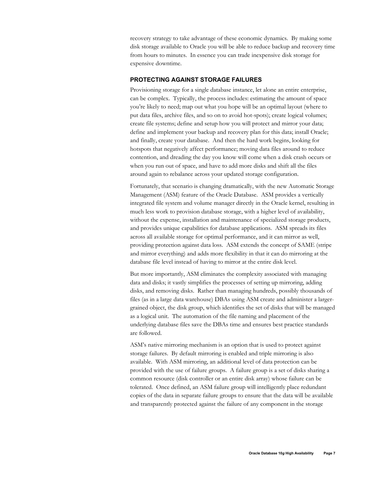recovery strategy to take advantage of these economic dynamics. By making some disk storage available to Oracle you will be able to reduce backup and recovery time from hours to minutes. In essence you can trade inexpensive disk storage for expensive downtime.

## **PROTECTING AGAINST STORAGE FAILURES**

Provisioning storage for a single database instance, let alone an entire enterprise, can be complex. Typically, the process includes: estimating the amount of space you're likely to need; map out what you hope will be an optimal layout (where to put data files, archive files, and so on to avoid hot-spots); create logical volumes; create file systems; define and setup how you will protect and mirror your data; define and implement your backup and recovery plan for this data; install Oracle; and finally, create your database. And then the hard work begins, looking for hotspots that negatively affect performance; moving data files around to reduce contention, and dreading the day you know will come when a disk crash occurs or when you run out of space, and have to add more disks and shift all the files around again to rebalance across your updated storage configuration.

Fortunately, that scenario is changing dramatically, with the new Automatic Storage Management (ASM) feature of the Oracle Database. ASM provides a vertically integrated file system and volume manager directly in the Oracle kernel, resulting in much less work to provision database storage, with a higher level of availability, without the expense, installation and maintenance of specialized storage products, and provides unique capabilities for database applications. ASM spreads its files across all available storage for optimal performance, and it can mirror as well, providing protection against data loss. ASM extends the concept of SAME (stripe and mirror everything) and adds more flexibility in that it can do mirroring at the database file level instead of having to mirror at the entire disk level.

But more importantly, ASM eliminates the complexity associated with managing data and disks; it vastly simplifies the processes of setting up mirroring, adding disks, and removing disks. Rather than managing hundreds, possibly thousands of files (as in a large data warehouse) DBAs using ASM create and administer a largergrained object, the disk group, which identifies the set of disks that will be managed as a logical unit. The automation of the file naming and placement of the underlying database files save the DBAs time and ensures best practice standards are followed.

ASM's native mirroring mechanism is an option that is used to protect against storage failures. By default mirroring is enabled and triple mirroring is also available. With ASM mirroring, an additional level of data protection can be provided with the use of failure groups. A failure group is a set of disks sharing a common resource (disk controller or an entire disk array) whose failure can be tolerated. Once defined, an ASM failure group will intelligently place redundant copies of the data in separate failure groups to ensure that the data will be available and transparently protected against the failure of any component in the storage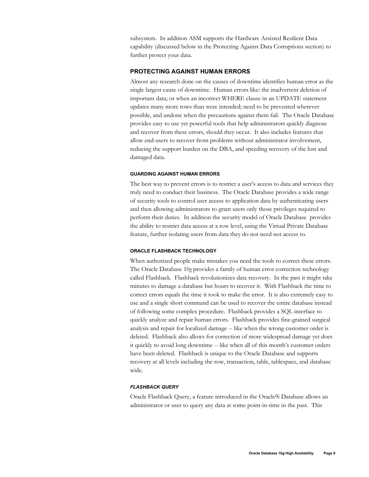subsystem. In addition ASM supports the Hardware Assisted Resilient Data capability (discussed below in the Protecting Against Data Corruptions section) to further protect your data.

### **PROTECTING AGAINST HUMAN ERRORS**

Almost any research done on the causes of downtime identifies human error as the single largest cause of downtime. Human errors like: the inadvertent deletion of important data; or when an incorrect WHERE clause in an UPDATE statement updates many more rows than were intended; need to be prevented wherever possible, and undone when the precautions against them fail. The Oracle Database provides easy to use yet powerful tools that help administrators quickly diagnose and recover from these errors, should they occur. It also includes features that allow end-users to recover from problems without administrator involvement, reducing the support burden on the DBA, and speeding recovery of the lost and damaged data.

#### **GUARDING AGAINST HUMAN ERRORS**

The best way to prevent errors is to restrict a user's access to data and services they truly need to conduct their business. The Oracle Database provides a wide range of security tools to control user access to application data by authenticating users and then allowing administrators to grant users only those privileges required to perform their duties. In addition the security model of Oracle Database provides the ability to restrict data access at a row level, using the Virtual Private Database feature, further isolating users from data they do not need not access to.

#### **ORACLE FLASHBACK TECHNOLOGY**

When authorized people make mistakes you need the tools to correct these errors. The Oracle Database 10*g* provides a family of human error correction technology called Flashback. Flashback revolutionizes data recovery. In the past it might take minutes to damage a database but hours to recover it. With Flashback the time to correct errors equals the time it took to make the error. It is also extremely easy to use and a single short command can be used to recover the entire database instead of following some complex procedure. Flashback provides a SQL interface to quickly analyze and repair human errors. Flashback provides fine-grained surgical analysis and repair for localized damage -- like when the wrong customer order is deleted. Flashback also allows for correction of more widespread damage yet does it quickly to avoid long downtime -- like when all of this month's customer orders have been deleted. Flashback is unique to the Oracle Database and supports recovery at all levels including the row, transaction, table, tablespace, and database wide.

### *FLASHBACK QUERY*

Oracle Flashback Query, a feature introduced in the Oracle9i Database allows an administrator or user to query any data at some point-in-time in the past. This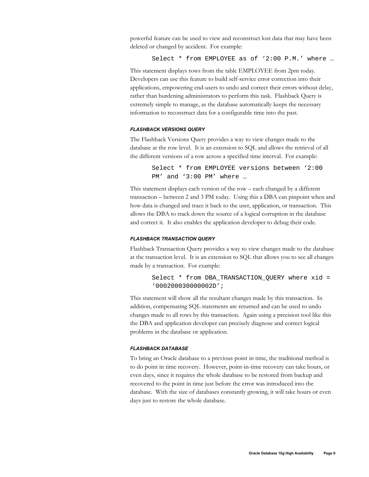powerful feature can be used to view and reconstruct lost data that may have been deleted or changed by accident. For example:

Select \* from EMPLOYEE as of '2:00 P.M.' where …

This statement displays rows from the table EMPLOYEE from 2pm today. Developers can use this feature to build self-service error correction into their applications, empowering end-users to undo and correct their errors without delay, rather than burdening administrators to perform this task. Flashback Query is extremely simple to manage, as the database automatically keeps the necessary information to reconstruct data for a configurable time into the past.

## *FLASHBACK VERSIONS QUERY*

The Flashback Versions Query provides a way to view changes made to the database at the row level. It is an extension to SQL and allows the retrieval of all the different versions of a row across a specified time interval. For example:

> Select \* from EMPLOYEE versions between '2:00 PM' and '3:00 PM' where …

This statement displays each version of the row – each changed by a different transaction – between 2 and 3 PM today. Using this a DBA can pinpoint when and how data is changed and trace it back to the user, application, or transaction. This allows the DBA to track down the source of a logical corruption in the database and correct it. It also enables the application developer to debug their code.

#### *FLASHBACK TRANSACTION QUERY*

Flashback Transaction Query provides a way to view changes made to the database at the transaction level. It is an extension to SQL that allows you to see all changes made by a transaction. For example:

> Select \* from DBA\_TRANSACTION\_QUERY where xid = '000200030000002D';

This statement will show all the resultant changes made by this transaction. In addition, compensating SQL statements are returned and can be used to undo changes made to all rows by this transaction. Again using a precision tool like this the DBA and application developer can precisely diagnose and correct logical problems in the database or application.

#### *FLASHBACK DATABASE*

To bring an Oracle database to a previous point in time, the traditional method is to do point in time recovery. However, point-in-time recovery can take hours, or even days, since it requires the whole database to be restored from backup and recovered to the point in time just before the error was introduced into the database. With the size of databases constantly growing, it will take hours or even days just to restore the whole database.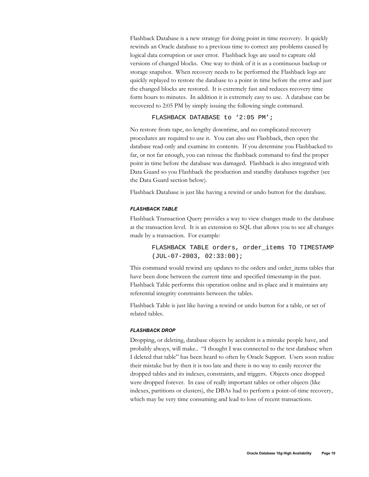Flashback Database is a new strategy for doing point in time recovery. It quickly rewinds an Oracle database to a previous time to correct any problems caused by logical data corruption or user error. Flashback logs are used to capture old versions of changed blocks. One way to think of it is as a continuous backup or storage snapshot. When recovery needs to be performed the Flashback logs are quickly replayed to restore the database to a point in time before the error and just the changed blocks are restored. It is extremely fast and reduces recovery time form hours to minutes. In addition it is extremely easy to use. A database can be recovered to 2:05 PM by simply issuing the following single command.

FLASHBACK DATABASE to '2:05 PM';

No restore from tape, no lengthy downtime, and no complicated recovery procedures are required to use it. You can also use Flashback, then open the database read-only and examine its contents. If you determine you Flashbacked to far, or not far enough, you can reissue the flashback command to find the proper point in time before the database was damaged. Flashback is also integrated with Data Guard so you Flashback the production and standby databases together (see the Data Guard section below).

Flashback Database is just like having a rewind or undo button for the database.

#### *FLASHBACK TABLE*

Flashback Transaction Query provides a way to view changes made to the database at the transaction level. It is an extension to SQL that allows you to see all changes made by a transaction. For example:

> FLASHBACK TABLE orders, order\_items TO TIMESTAMP (JUL-07-2003, 02:33:00);

This command would rewind any updates to the orders and order\_items tables that have been done between the current time and specified timestamp in the past. Flashback Table performs this operation online and in-place and it maintains any referential integrity constraints between the tables.

Flashback Table is just like having a rewind or undo button for a table, or set of related tables.

#### *FLASHBACK DROP*

Dropping, or deleting, database objects by accident is a mistake people have, and probably always, will make.. "I thought I was connected to the test database when I deleted that table" has been heard to often by Oracle Support. Users soon realize their mistake but by then it is too late and there is no way to easily recover the dropped tables and its indexes, constraints, and triggers. Objects once dropped were dropped forever. In case of really important tables or other objects (like indexes, partitions or clusters), the DBAs had to perform a point-of-time recovery, which may be very time consuming and lead to loss of recent transactions.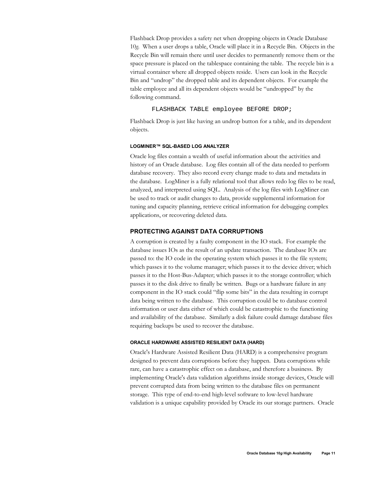Flashback Drop provides a safety net when dropping objects in Oracle Database 10*g*. When a user drops a table, Oracle will place it in a Recycle Bin. Objects in the Recycle Bin will remain there until user decides to permanently remove them or the space pressure is placed on the tablespace containing the table. The recycle bin is a virtual container where all dropped objects reside. Users can look in the Recycle Bin and "undrop" the dropped table and its dependent objects. For example the table employee and all its dependent objects would be "undropped" by the following command.

FLASHBACK TABLE employee BEFORE DROP;

Flashback Drop is just like having an undrop button for a table, and its dependent objects.

#### **LOGMINER™ SQL-BASED LOG ANALYZER**

Oracle log files contain a wealth of useful information about the activities and history of an Oracle database. Log files contain all of the data needed to perform database recovery. They also record every change made to data and metadata in the database. LogMiner is a fully relational tool that allows redo log files to be read, analyzed, and interpreted using SQL. Analysis of the log files with LogMiner can be used to track or audit changes to data, provide supplemental information for tuning and capacity planning, retrieve critical information for debugging complex applications, or recovering deleted data.

## **PROTECTING AGAINST DATA CORRUPTIONS**

A corruption is created by a faulty component in the IO stack. For example the database issues IOs as the result of an update transaction. The database IOs are passed to: the IO code in the operating system which passes it to the file system; which passes it to the volume manager; which passes it to the device driver; which passes it to the Host-Bus-Adapter; which passes it to the storage controller; which passes it to the disk drive to finally be written. Bugs or a hardware failure in any component in the IO stack could "flip some bits" in the data resulting in corrupt data being written to the database. This corruption could be to database control information or user data either of which could be catastrophic to the functioning and availability of the database. Similarly a disk failure could damage database files requiring backups be used to recover the database.

#### **ORACLE HARDWARE ASSISTED RESILIENT DATA (HARD)**

Oracle's Hardware Assisted Resilient Data (HARD) is a comprehensive program designed to prevent data corruptions before they happen. Data corruptions while rare, can have a catastrophic effect on a database, and therefore a business. By implementing Oracle's data validation algorithms inside storage devices, Oracle will prevent corrupted data from being written to the database files on permanent storage. This type of end-to-end high-level software to low-level hardware validation is a unique capability provided by Oracle its our storage partners. Oracle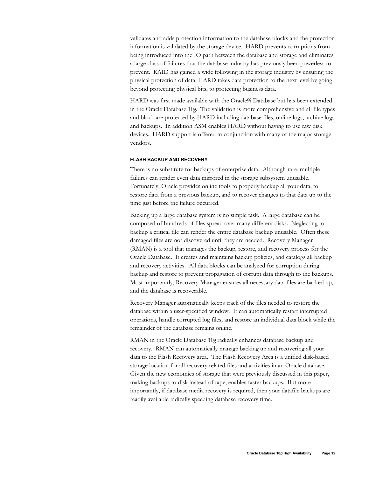validates and adds protection information to the database blocks and the protection information is validated by the storage device. HARD prevents corruptions from being introduced into the IO path between the database and storage and eliminates a large class of failures that the database industry has previously been powerless to prevent. RAID has gained a wide following in the storage industry by ensuring the physical protection of data, HARD takes data protection to the next level by going beyond protecting physical bits, to protecting business data.

HARD was first made available with the Oracle9i Database but has been extended in the Oracle Database 10*g*. The validation is more comprehensive and all file types and block are protected by HARD including database files, online logs, archive logs and backups. In addition ASM enables HARD without having to use raw disk devices. HARD support is offered in conjunction with many of the major storage vendors.

#### **FLASH BACKUP AND RECOVERY**

There is no substitute for backups of enterprise data. Although rare, multiple failures can render even data mirrored in the storage subsystem unusable. Fortunately, Oracle provides online tools to properly backup all your data, to restore data from a previous backup, and to recover changes to that data up to the time just before the failure occurred.

Backing up a large database system is no simple task. A large database can be composed of hundreds of files spread over many different disks. Neglecting to backup a critical file can render the entire database backup unusable. Often these damaged files are not discovered until they are needed. Recovery Manager (RMAN) is a tool that manages the backup, restore, and recovery process for the Oracle Database. It creates and maintains backup policies, and catalogs all backup and recovery activities. All data blocks can be analyzed for corruption during backup and restore to prevent propagation of corrupt data through to the backups. Most importantly, Recovery Manager ensures all necessary data files are backed up, and the database is recoverable.

Recovery Manager automatically keeps track of the files needed to restore the database within a user-specified window. It can automatically restart interrupted operations, handle corrupted log files, and restore an individual data block while the remainder of the database remains online.

RMAN in the Oracle Database 10*g* radically enhances database backup and recovery. RMAN can automatically manage backing up and recovering all your data to the Flash Recovery area. The Flash Recovery Area is a unified disk-based storage location for all recovery related files and activities in an Oracle database. Given the new economics of storage that were previously discussed in this paper, making backups to disk instead of tape, enables faster backups. But more importantly, if database media recovery is required, then your datafile backups are readily available radically speeding database recovery time.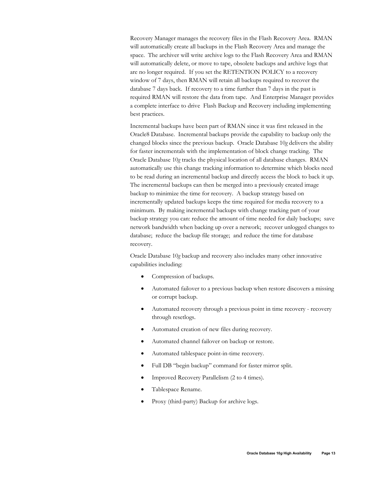Recovery Manager manages the recovery files in the Flash Recovery Area. RMAN will automatically create all backups in the Flash Recovery Area and manage the space. The archiver will write archive logs to the Flash Recovery Area and RMAN will automatically delete, or move to tape, obsolete backups and archive logs that are no longer required. If you set the RETENTION POLICY to a recovery window of 7 days, then RMAN will retain all backups required to recover the database 7 days back. If recovery to a time further than 7 days in the past is required RMAN will restore the data from tape. And Enterprise Manager provides a complete interface to drive Flash Backup and Recovery including implementing best practices.

Incremental backups have been part of RMAN since it was first released in the Oracle8 Database. Incremental backups provide the capability to backup only the changed blocks since the previous backup. Oracle Database 10*g* delivers the ability for faster incrementals with the implementation of block change tracking. The Oracle Database 10*g* tracks the physical location of all database changes. RMAN automatically use this change tracking information to determine which blocks need to be read during an incremental backup and directly access the block to back it up. The incremental backups can then be merged into a previously created image backup to minimize the time for recovery. A backup strategy based on incrementally updated backups keeps the time required for media recovery to a minimum. By making incremental backups with change tracking part of your backup strategy you can: reduce the amount of time needed for daily backups; save network bandwidth when backing up over a network; recover unlogged changes to database; reduce the backup file storage; and reduce the time for database recovery.

Oracle Database 10*g* backup and recovery also includes many other innovative capabilities including:

- Compression of backups.
- Automated failover to a previous backup when restore discovers a missing or corrupt backup.
- Automated recovery through a previous point in time recovery recovery through resetlogs.
- Automated creation of new files during recovery.
- Automated channel failover on backup or restore.
- Automated tablespace point-in-time recovery.
- Full DB "begin backup" command for faster mirror split.
- Improved Recovery Parallelism (2 to 4 times).
- Tablespace Rename.
- Proxy (third-party) Backup for archive logs.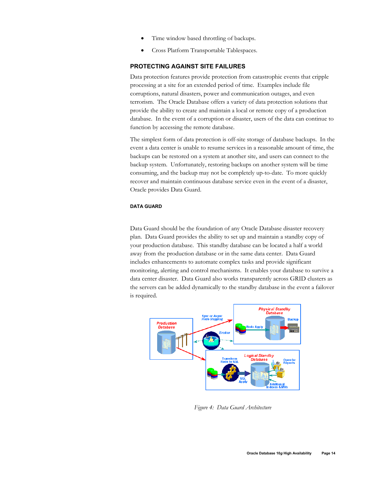- Time window based throttling of backups.
- Cross Platform Transportable Tablespaces.

## **PROTECTING AGAINST SITE FAILURES**

Data protection features provide protection from catastrophic events that cripple processing at a site for an extended period of time. Examples include file corruptions, natural disasters, power and communication outages, and even terrorism. The Oracle Database offers a variety of data protection solutions that provide the ability to create and maintain a local or remote copy of a production database. In the event of a corruption or disaster, users of the data can continue to function by accessing the remote database.

The simplest form of data protection is off-site storage of database backups. In the event a data center is unable to resume services in a reasonable amount of time, the backups can be restored on a system at another site, and users can connect to the backup system. Unfortunately, restoring backups on another system will be time consuming, and the backup may not be completely up-to-date. To more quickly recover and maintain continuous database service even in the event of a disaster, Oracle provides Data Guard.

#### **DATA GUARD**

Data Guard should be the foundation of any Oracle Database disaster recovery plan. Data Guard provides the ability to set up and maintain a standby copy of your production database. This standby database can be located a half a world away from the production database or in the same data center. Data Guard includes enhancements to automate complex tasks and provide significant monitoring, alerting and control mechanisms. It enables your database to survive a data center disaster. Data Guard also works transparently across GRID clusters as the servers can be added dynamically to the standby database in the event a failover is required.



*Figure 4: Data Guard Architecture*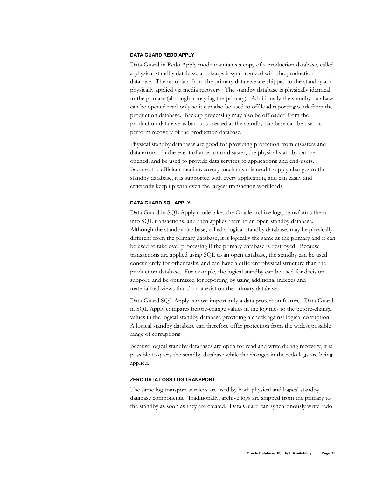#### **DATA GUARD REDO APPLY**

Data Guard in Redo Apply mode maintains a copy of a production database, called a physical standby database, and keeps it synchronized with the production database. The redo data from the primary database are shipped to the standby and physically applied via media recovery. The standby database is physically identical to the primary (although it may lag the primary). Additionally the standby database can be opened read-only so it can also be used to off load reporting work from the production database. Backup processing may also be offloaded from the production database as backups created at the standby database can be used to perform recovery of the production database.

Physical standby databases are good for providing protection from disasters and data errors. In the event of an error or disaster, the physical standby can be opened, and be used to provide data services to applications and end-users. Because the efficient media recovery mechanism is used to apply changes to the standby database, it is supported with every application, and can easily and efficiently keep up with even the largest transaction workloads.

#### **DATA GUARD SQL APPLY**

Data Guard in SQL Apply mode takes the Oracle archive logs, transforms them into SQL transactions, and then applies them to an open standby database. Although the standby database, called a logical standby database, may be physically different from the primary database, it is logically the same as the primary and it can be used to take over processing if the primary database is destroyed. Because transactions are applied using SQL to an open database, the standby can be used concurrently for other tasks, and can have a different physical structure than the production database. For example, the logical standby can be used for decision support, and be optimized for reporting by using additional indexes and materialized views that do not exist on the primary database.

Data Guard SQL Apply is most importantly a data protection feature. Data Guard in SQL Apply compares before-change values in the log files to the before-change values in the logical standby database providing a check against logical corruption. A logical standby database can therefore offer protection from the widest possible range of corruptions.

Because logical standby databases are open for read and write during recovery, it is possible to query the standby database while the changes in the redo logs are being applied.

#### **ZERO DATA LOSS LOG TRANSPORT**

The same log transport services are used by both physical and logical standby database components. Traditionally, archive logs are shipped from the primary to the standby as soon as they are created. Data Guard can synchronously write redo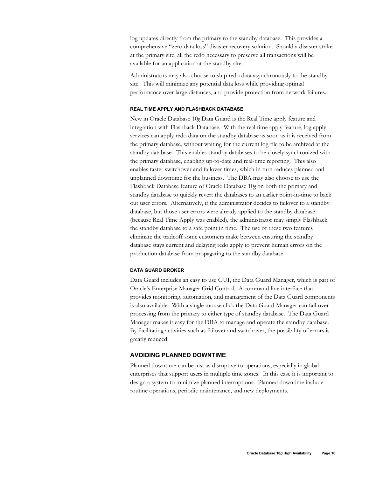log updates directly from the primary to the standby database. This provides a comprehensive "zero data loss" disaster recovery solution. Should a disaster strike at the primary site, all the redo necessary to preserve all transactions will be available for an application at the standby site.

Administrators may also choose to ship redo data asynchronously to the standby site. This will minimize any potential data loss while providing optimal performance over large distances, and provide protection from network failures.

## **REAL TIME APPLY AND FLASHBACK DATABASE**

New in Oracle Database 10*g* Data Guard is the Real Time apply feature and integration with Flashback Database. With the real time apply feature, log apply services can apply redo data on the standby database as soon as it is received from the primary database, without waiting for the current log file to be archived at the standby database. This enables standby databases to be closely synchronized with the primary database, enabling up-to-date and real-time reporting. This also enables faster switchover and failover times, which in turn reduces planned and unplanned downtime for the business. The DBA may also choose to use the Flashback Database feature of Oracle Database 10*g* on both the primary and standby database to quickly revert the databases to an earlier point-in-time to back out user errors. Alternatively, if the administrator decides to failover to a standby database, but those user errors were already applied to the standby database (because Real Time Apply was enabled), the administrator may simply Flashback the standby database to a safe point in time. The use of these two features eliminate the tradeoff some customers make between ensuring the standby database stays current and delaying redo apply to prevent human errors on the production database from propagating to the standby database.

#### **DATA GUARD BROKER**

Data Guard includes an easy to use GUI, the Data Guard Manager, which is part of Oracle's Enterprise Manager Grid Control. A command line interface that provides monitoring, automation, and management of the Data Guard components is also available. With a single mouse click the Data Guard Manager can fail over processing from the primary to either type of standby database. The Data Guard Manager makes it easy for the DBA to manage and operate the standby database. By facilitating activities such as failover and switchover, the possibility of errors is greatly reduced.

## **AVOIDING PLANNED DOWNTIME**

Planned downtime can be just as disruptive to operations, especially in global enterprises that support users in multiple time zones. In this case it is important to design a system to minimize planned interruptions. Planned downtime include routine operations, periodic maintenance, and new deployments.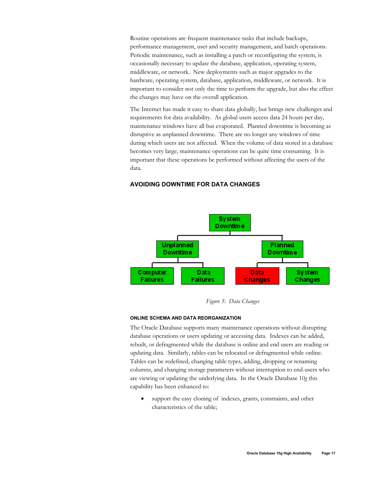Routine operations are frequent maintenance tasks that include backups, performance management, user and security management, and batch operations. Periodic maintenance, such as installing a patch or reconfiguring the system, is occasionally necessary to update the database, application, operating system, middleware, or network. New deployments such as major upgrades to the hardware, operating system, database, application, middleware, or network. It is important to consider not only the time to perform the upgrade, but also the effect the changes may have on the overall application.

The Internet has made it easy to share data globally, but brings new challenges and requirements for data availability. As global users access data 24 hours per day, maintenance windows have all but evaporated. Planned downtime is becoming as disruptive as unplanned downtime. There are no longer any windows of time during which users are not affected. When the volume of data stored in a database becomes very large, maintenance operations can be quite time consuming. It is important that these operations be performed without affecting the users of the data.

### **AVOIDING DOWNTIME FOR DATA CHANGES**



*Figure 5: Data Changes* 

#### **ONLINE SCHEMA AND DATA REORGANIZATION**

The Oracle Database supports many maintenance operations without disrupting database operations or users updating or accessing data. Indexes can be added, rebuilt, or defragmented while the database is online and end users are reading or updating data. Similarly, tables can be relocated or defragmented while online. Tables can be redefined, changing table types, adding, dropping or renaming columns, and changing storage parameters without interruption to end-users who are viewing or updating the underlying data. In the Oracle Database 10*g* this capability has been enhanced to:

support the easy cloning of indexes, grants, constraints, and other characteristics of the table;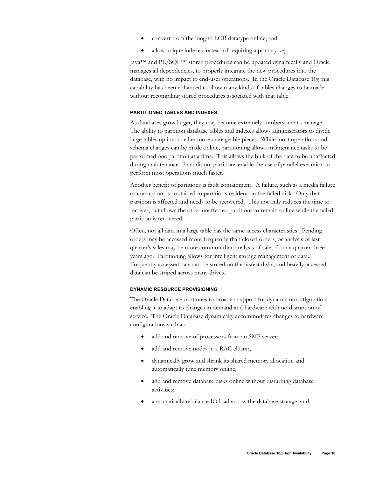- convert from the long to LOB datatype online; and
- allow unique indexes instead of requiring a primary key.

Java™ and PL/SQL™ stored procedures can be updated dynamically and Oracle manages all dependencies, to properly integrate the new procedures into the database, with no impact to end-user operations. In the Oracle Database 10*g* this capability has been enhanced to allow many kinds of tables changes to be made without recompiling stored procedures associated with that table.

#### **PARTITIONED TABLES AND INDEXES**

As databases grow larger, they may become extremely cumbersome to manage. The ability to partition database tables and indexes allows administrators to divide large tables up into smaller more manageable pieces. While most operations and schema changes can be made online, partitioning allows maintenance tasks to be performed one partition at a time. This allows the bulk of the data to be unaffected during maintenance. In addition, partitions enable the use of parallel execution to perform most operations much faster.

Another benefit of partitions is fault containment. A failure, such as a media failure or corruption, is contained to partitions resident on the failed disk. Only that partition is affected and needs to be recovered. This not only reduces the time to recover, but allows the other unaffected partitions to remain online while the failed partition is recovered.

Often, not all data in a large table has the same access characteristics. Pending orders may be accessed more frequently than closed orders, or analysis of last quarter's sales may be more common than analysis of sales from a quarter three years ago. Partitioning allows for intelligent storage management of data. Frequently accessed data can be stored on the fastest disks, and heavily accessed data can be striped across many drives.

#### **DYNAMIC RESOURCE PROVISIONING**

The Oracle Database continues to broaden support for dynamic reconfiguration enabling it to adapt to changes in demand and hardware with no disruption of service. The Oracle Database dynamically accommodates changes to hardware configurations such as:

- add and remove of processors from an SMP server;
- add and remove nodes in a RAC cluster;
- dynamically grow and shrink its shared memory allocation and automatically tune memory online;
- add and remove database disks online without disturbing database activities;
- automatically rebalance IO load across the database storage; and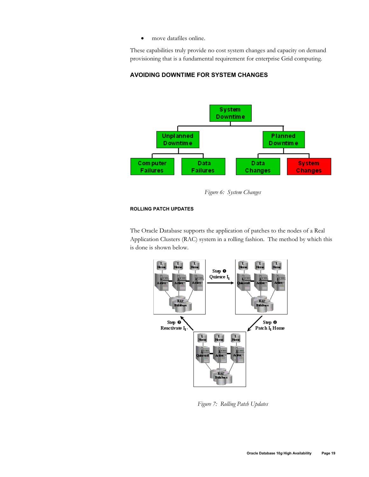• move datafiles online.

These capabilities truly provide no cost system changes and capacity on demand provisioning that is a fundamental requirement for enterprise Grid computing.

## **AVOIDING DOWNTIME FOR SYSTEM CHANGES**



*Figure 6: System Changes* 

## **ROLLING PATCH UPDATES**

The Oracle Database supports the application of patches to the nodes of a Real Application Clusters (RAC) system in a rolling fashion. The method by which this is done is shown below.



*Figure 7: Rolling Patch Updates*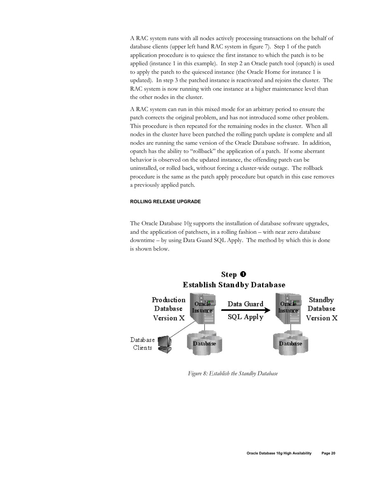A RAC system runs with all nodes actively processing transactions on the behalf of database clients (upper left hand RAC system in figure 7). Step 1 of the patch application procedure is to quiesce the first instance to which the patch is to be applied (instance 1 in this example). In step 2 an Oracle patch tool (opatch) is used to apply the patch to the quiesced instance (the Oracle Home for instance 1 is updated). In step 3 the patched instance is reactivated and rejoins the cluster. The RAC system is now running with one instance at a higher maintenance level than the other nodes in the cluster.

A RAC system can run in this mixed mode for an arbitrary period to ensure the patch corrects the original problem, and has not introduced some other problem. This procedure is then repeated for the remaining nodes in the cluster. When all nodes in the cluster have been patched the rolling patch update is complete and all nodes are running the same version of the Oracle Database software. In addition, opatch has the ability to "rollback" the application of a patch. If some aberrant behavior is observed on the updated instance, the offending patch can be uninstalled, or rolled back, without forcing a cluster-wide outage. The rollback procedure is the same as the patch apply procedure but opatch in this case removes a previously applied patch.

#### **ROLLING RELEASE UPGRADE**

The Oracle Database 10*g* supports the installation of database software upgrades, and the application of patchsets, in a rolling fashion – with near zero database downtime – by using Data Guard SQL Apply. The method by which this is done is shown below.



*Figure 8: Establish the Standby Database*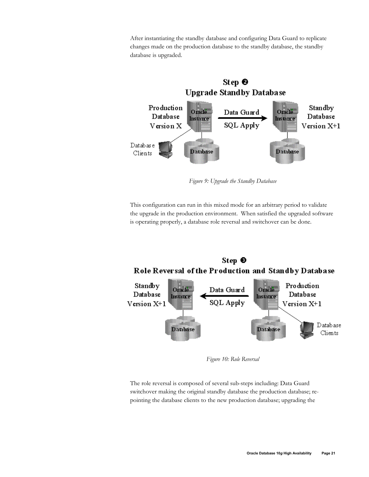After instantiating the standby database and configuring Data Guard to replicate changes made on the production database to the standby database, the standby database is upgraded.



*Figure 9: Upgrade the Standby Database* 

This configuration can run in this mixed mode for an arbitrary period to validate the upgrade in the production environment. When satisfied the upgraded software is operating properly, a database role reversal and switchover can be done.



*Figure 10: Role Reversal* 

The role reversal is composed of several sub-steps including: Data Guard switchover making the original standby database the production database; repointing the database clients to the new production database; upgrading the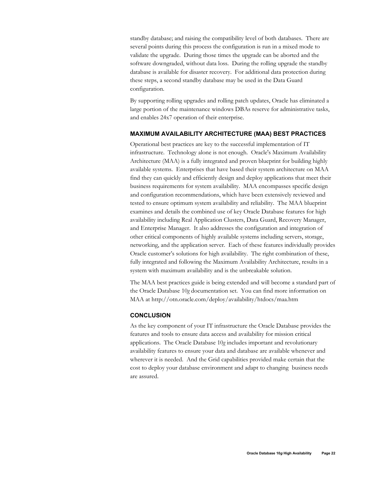standby database; and raising the compatibility level of both databases. There are several points during this process the configuration is run in a mixed mode to validate the upgrade. During those times the upgrade can be aborted and the software downgraded, without data loss. During the rolling upgrade the standby database is available for disaster recovery. For additional data protection during these steps, a second standby database may be used in the Data Guard configuration.

By supporting rolling upgrades and rolling patch updates, Oracle has eliminated a large portion of the maintenance windows DBAs reserve for administrative tasks, and enables 24x7 operation of their enterprise.

## **MAXIMUM AVAILABILITY ARCHITECTURE (MAA) BEST PRACTICES**

Operational best practices are key to the successful implementation of IT infrastructure. Technology alone is not enough. Oracle's Maximum Availability Architecture (MAA) is a fully integrated and proven blueprint for building highly available systems. Enterprises that have based their system architecture on MAA find they can quickly and efficiently design and deploy applications that meet their business requirements for system availability. MAA encompasses specific design and configuration recommendations, which have been extensively reviewed and tested to ensure optimum system availability and reliability. The MAA blueprint examines and details the combined use of key Oracle Database features for high availability including Real Application Clusters, Data Guard, Recovery Manager, and Enterprise Manager. It also addresses the configuration and integration of other critical components of highly available systems including servers, storage, networking, and the application server. Each of these features individually provides Oracle customer's solutions for high availability. The right combination of these, fully integrated and following the Maximum Availability Architecture, results in a system with maximum availability and is the unbreakable solution.

The MAA best practices guide is being extended and will become a standard part of the Oracle Database 10*g* documentation set. You can find more information on MAA at http://otn.oracle.com/deploy/availability/htdocs/maa.htm

## **CONCLUSION**

As the key component of your IT infrastructure the Oracle Database provides the features and tools to ensure data access and availability for mission critical applications. The Oracle Database 10*g* includes important and revolutionary availability features to ensure your data and database are available whenever and wherever it is needed. And the Grid capabilities provided make certain that the cost to deploy your database environment and adapt to changing business needs are assured.